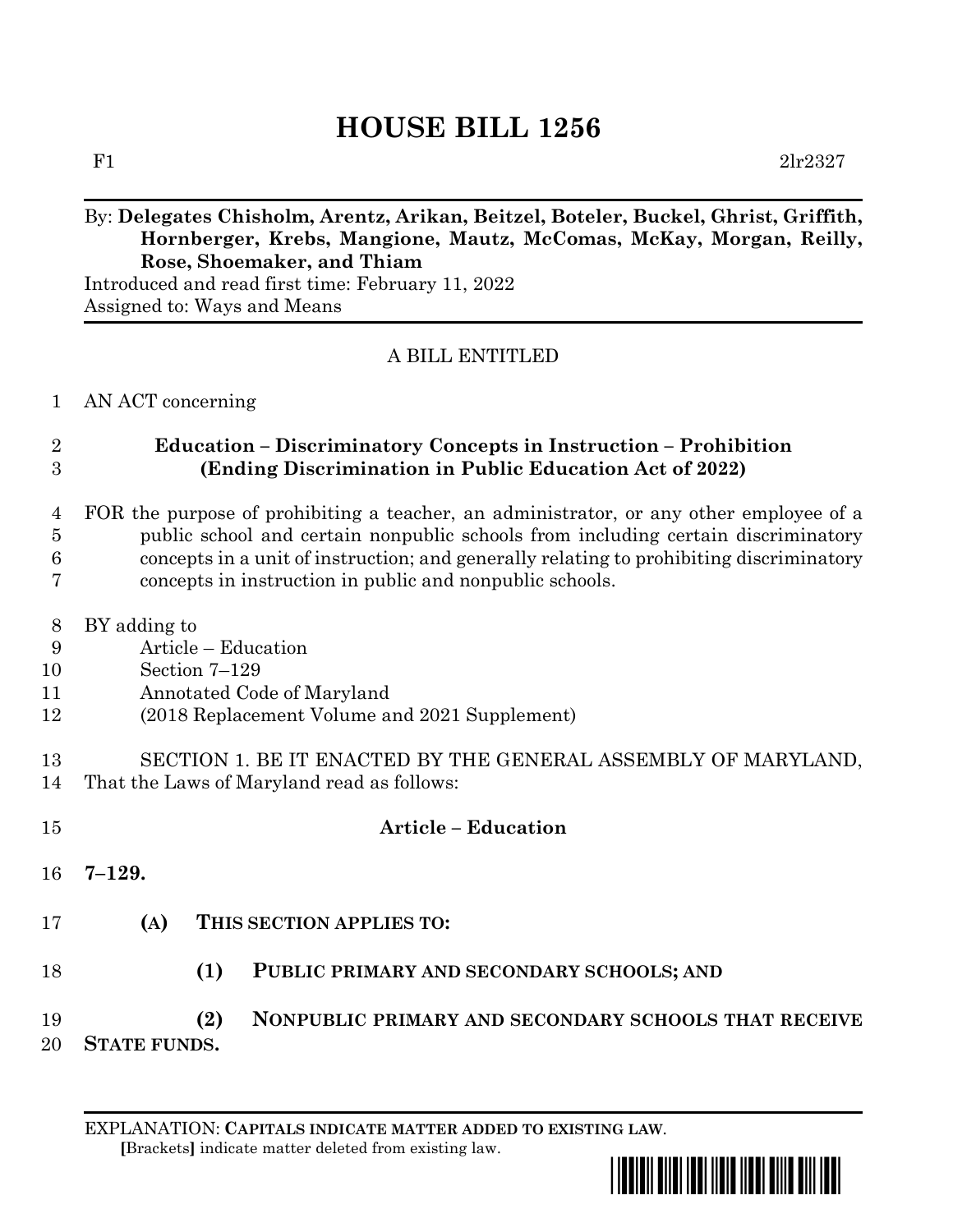# **HOUSE BILL 1256**

F1  $2\text{lr}2327$ 

#### By: **Delegates Chisholm, Arentz, Arikan, Beitzel, Boteler, Buckel, Ghrist, Griffith, Hornberger, Krebs, Mangione, Mautz, McComas, McKay, Morgan, Reilly, Rose, Shoemaker, and Thiam**

Introduced and read first time: February 11, 2022 Assigned to: Ways and Means

## A BILL ENTITLED

#### AN ACT concerning

## **Education – Discriminatory Concepts in Instruction – Prohibition (Ending Discrimination in Public Education Act of 2022)**

- FOR the purpose of prohibiting a teacher, an administrator, or any other employee of a public school and certain nonpublic schools from including certain discriminatory concepts in a unit of instruction; and generally relating to prohibiting discriminatory concepts in instruction in public and nonpublic schools.
- BY adding to
- Article Education
- Section 7–129
- Annotated Code of Maryland
- (2018 Replacement Volume and 2021 Supplement)
- SECTION 1. BE IT ENACTED BY THE GENERAL ASSEMBLY OF MARYLAND, That the Laws of Maryland read as follows:
- **Article – Education 7–129. (A) THIS SECTION APPLIES TO: (1) PUBLIC PRIMARY AND SECONDARY SCHOOLS; AND (2) NONPUBLIC PRIMARY AND SECONDARY SCHOOLS THAT RECEIVE STATE FUNDS.**

EXPLANATION: **CAPITALS INDICATE MATTER ADDED TO EXISTING LAW**.  **[**Brackets**]** indicate matter deleted from existing law.